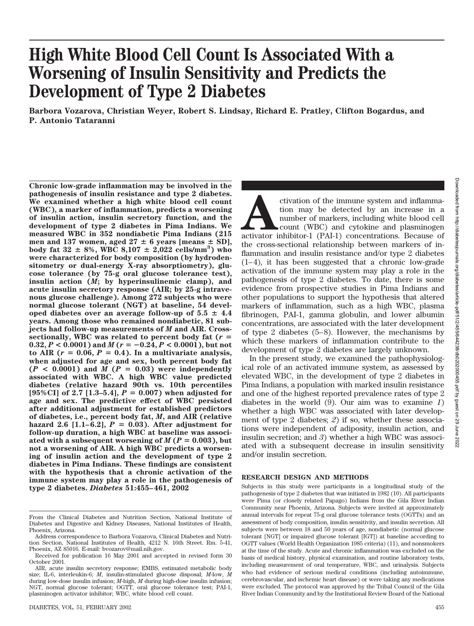# **High White Blood Cell Count Is Associated With a Worsening of Insulin Sensitivity and Predicts the Development of Type 2 Diabetes**

**Barbora Vozarova, Christian Weyer, Robert S. Lindsay, Richard E. Pratley, Clifton Bogardus, and P. Antonio Tataranni**

**Chronic low-grade inflammation may be involved in the pathogenesis of insulin resistance and type 2 diabetes. We examined whether a high white blood cell count (WBC), a marker of inflammation, predicts a worsening of insulin action, insulin secretory function, and the development of type 2 diabetes in Pima Indians. We measured WBC in 352 nondiabetic Pima Indians (215** men and 137 women, aged  $27 \pm 6$  years [means  $\pm$  SD],  $\text{body fat } 32 \pm 8\%, \text{WBC } 8,107 \pm 2,022 \text{ cells/mm}^3 \text{)}$  who **were characterized for body composition (by hydrodensitometry or dual-energy X-ray absorptiometry), glucose tolerance (by 75-g oral glucose tolerance test), insulin action (***M***; by hyperinsulinemic clamp), and acute insulin secretory response (AIR; by 25-g intravenous glucose challenge). Among 272 subjects who were normal glucose tolerant (NGT) at baseline, 54 devel**oped diabetes over an average follow-up of  $5.5 \pm 4.4$ **years. Among those who remained nondiabetic, 81 subjects had follow-up measurements of** *M* **and AIR. Cross**sectionally, WBC was related to percent body fat  $(r =$  $0.32, P < 0.0001$  ) and  $M(r = -0.24, P < 0.0001)$ , but not  $\text{to AIR}$  ( $r = 0.06$ ,  $P = 0.4$ ). In a multivariate analysis, **when adjusted for age and sex, both percent body fat**  $(P < 0.0001)$  and  $M(P = 0.03)$  were independently **associated with WBC. A high WBC value predicted diabetes (relative hazard 90th vs. 10th percentiles**  $[95\% \text{CI}]$  of 2.7  $[1.3-5.4]$ ,  $P = 0.007$ ) when adjusted for **age and sex. The predictive effect of WBC persisted after additional adjustment for established predictors of diabetes, i.e., percent body fat,** *M***, and AIR (relative**  $hazard 2.6 [1.1–6.2], P = 0.03$ . After adjustment for **follow-up duration, a high WBC at baseline was associ**ated with a subsequent worsening of  $M(P = 0.003)$ , but **not a worsening of AIR. A high WBC predicts a worsening of insulin action and the development of type 2 diabetes in Pima Indians. These findings are consistent with the hypothesis that a chronic activation of the immune system may play a role in the pathogenesis of type 2 diabetes.** *Diabetes* **51:455–461, 2002**

ctivation of the immune system and inflamma-<br>tion may be detected by an increase in a<br>number of markers, including white blood cell<br>count (WBC) and cytokine and plasminogen<br>activator inhibitor-1 (PAI-1) concentrations. Bec tion may be detected by an increase in a number of markers, including white blood cell count (WBC) and cytokine and plasminogen the cross-sectional relationship between markers of inflammation and insulin resistance and/or type 2 diabetes (1–4), it has been suggested that a chronic low-grade activation of the immune system may play a role in the pathogenesis of type 2 diabetes. To date, there is some evidence from prospective studies in Pima Indians and other populations to support the hypothesis that altered markers of inflammation, such as a high WBC, plasma fibrinogen, PAI-1, gamma globulin, and lower albumin concentrations, are associated with the later development of type 2 diabetes (5–8). However, the mechanisms by which these markers of inflammation contribute to the development of type 2 diabetes are largely unknown.

In the present study, we examined the pathophysiological role of an activated immune system, as assessed by elevated WBC, in the development of type 2 diabetes in Pima Indians, a population with marked insulin resistance and one of the highest reported prevalence rates of type 2 diabetes in the world (9). Our aim was to examine *1*) whether a high WBC was associated with later development of type 2 diabetes; *2*) if so, whether these associations were independent of adiposity, insulin action, and insulin secretion; and *3*) whether a high WBC was associated with a subsequent decrease in insulin sensitivity and/or insulin secretion.

## **RESEARCH DESIGN AND METHODS**

Subjects in this study were participants in a longitudinal study of the pathogenesis of type 2 diabetes that was initiated in 1982 (10). All participants were Pima (or closely related Papago) Indians from the Gila River Indian Community near Phoenix, Arizona. Subjects were invited at approximately annual intervals for repeat 75-g oral glucose tolerance tests (OGTTs) and an assessment of body composition, insulin sensitivity, and insulin secretion. All subjects were between 18 and 50 years of age, nondiabetic (normal glucose tolerant [NGT] or impaired glucose tolerant [IGT]) at baseline according to OGTT values (World Health Organization 1985 criteria) (11), and nonsmokers at the time of the study. Acute and chronic inflammation was excluded on the basis of medical history, physical examination, and routine laboratory tests, including measurement of oral temperature, WBC, and urinalysis. Subjects who had evidence of serious medical conditions (including autoimmune, cerebrovascular, and ischemic heart disease) or were taking any medications were excluded. The protocol was approved by the Tribal Council of the Gila River Indian Community and by the Institutional Review Board of the National

From the Clinical Diabetes and Nutrition Section, National Institute of Diabetes and Digestive and Kidney Diseases, National Institutes of Health, Phoenix, Arizona.

Address correspondence to Barbora Vozarova, Clinical Diabetes and Nutrition Section, National Institutes of Health, 4212 N. 16th Street. Rm. 5-41, Phoenix, AZ 85016. E-mail: bvozarov@mail.nih.gov.

Received for publication 16 May 2001 and accepted in revised form 30 October 2001.

AIR, acute insulin secretory response; EMBS, estimated metabolic body size; IL-6, interleukin-6; *M*, insulin-stimulated glucose disposal; *M*-low, *M* during low-dose insulin infusion; *M*-high, *M* during high-dose insulin infusion; NGT, normal glucose tolerant; OGTT, oral glucose tolerance test; PAI-1, plasminogen activator inhibitor; WBC, white blood cell count.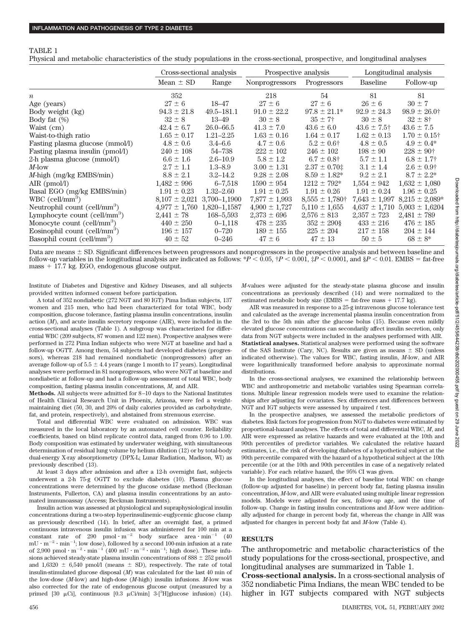#### TABLE 1

Physical and metabolic characteristics of the study populations in the cross-sectional, prospective, and longitudinal analyses

|                                          |                                | Cross-sectional analysis | Prospective analysis |                                | Longitudinal analysis |                    |
|------------------------------------------|--------------------------------|--------------------------|----------------------|--------------------------------|-----------------------|--------------------|
|                                          | Mean $\pm$ SD                  | Range                    | Nonprogressors       | Progressors                    | Baseline              | Follow-up          |
| $\boldsymbol{n}$                         | 352                            |                          | 218                  | 54                             | 81                    | 81                 |
| Age (years)                              | $27 \pm 6$                     | 18–47                    | $27 \pm 6$           | $27 \pm 6$                     | $26 \pm 6$            | $30 \pm 7$         |
| Body weight (kg)                         | $94.3 \pm 21.8$                | $49.5 - 181.1$           | $91.0 \pm 22.2$      | $97.8 \pm 21.1*$               | $92.9 \pm 24.3$       | $98.9 \pm 26.0$ †  |
| Body fat (%)                             | $32 \pm 8$                     | $13 - 49$                | $30 \pm 8$           | $35 \pm 7$                     | $30 \pm 8$            | $32 \pm 8^+$       |
| Waist (cm)                               | $42.4 \pm 6.7$                 | $26.0 - 66.5$            | $41.3 \pm 7.0$       | $43.6 \pm 6.0$                 | $43.6 \pm 7.5$ †      | $43.6 \pm 7.5$     |
| Waist-to-thigh ratio                     | $1.65 \pm 0.17$                | $1.21 - 2.25$            | $1.63 \pm 0.16$      | $1.64 \pm 0.17$                | $1.62 \pm 0.13$       | $1.70 \pm 0.15$ †  |
| Fasting plasma glucose (mmol/l)          | $4.8 \pm 0.6$                  | $3.4 - 6.6$              | $4.7 \pm 0.6$        | $5.2 \pm 0.6$ †                | $4.8 \pm 0.5$         | $4.9 \pm 0.4^*$    |
| Fasting plasma insulin (pmol/l)          | $240 \pm 108$                  | 54–738                   | $222 \pm 102$        | $246 \pm 102$                  | $198 \pm 90$          | $228 \pm 90^+$     |
| 2-h plasma glucose (mmol/l)              | $6.6 \pm 1.6$                  | $2.6 - 10.9$             | $5.8 \pm 1.2$        | $6.7 \pm 0.8$ †                | $5.7 \pm 1.1$         | $6.8 \pm 1.7$      |
| $M$ -low                                 | $2.7 \pm 1.1$                  | $1.3 - 8.9$              | $3.00 \pm 1.31$      | $2.37 \pm 0.70$ ‡              | $3.1 \pm 1.4$         | $2.6 \pm 0.9^+$    |
| <i>M</i> -high $(mg/kg$ EMBS/min)        | $8.8 \pm 2.1$                  | $3.2 - 14.2$             | $9.28 \pm 2.08$      | $8.59 \pm 1.82*$               | $9.2 \pm 2.1$         | $8.7 \pm 2.2^*$    |
| AIR $(pmol/l)$                           | $1,482 \pm 996$                | $6 - 7,518$              | $1590 \pm 954$       | $1212 \pm 792*$                | $1,554 \pm 942$       | $1,632 \pm 1,080$  |
| Basal EGO (mg/kg EMBS/min)               | $1.91 \pm 0.23$                | $1.32 - 2.60$            | $1.91 \pm 0.25$      | $1.91 \pm 0.26$                | $1.91 \pm 0.24$       | $1.96 \pm 0.25$    |
| $WBC$ (cell/mm <sup>3</sup> )            | $8,107 \pm 2,021$ 3,700-1,1900 |                          | $7,877 \pm 1,993$    | $8,555 \pm 1,780$ <sup>†</sup> | $7,643 \pm 1,997$     | $8,215 \pm 2,089*$ |
| Neutrophil count (cell/mm <sup>3</sup> ) | $4,977 \pm 1,760$ 1,820-1,1587 |                          | $4,900 \pm 1,727$    | $5,110 \pm 1,655$              | $4,637 \pm 1,710$     | $5,003 \pm 1,6204$ |
| Lymphocyte count (cell/mm <sup>3</sup> ) | $2,441 \pm 78$                 | $168 - 5.593$            | $2,373 \pm 696$      | $2,576 \pm 813$                | $2,357 \pm 723$       | $2,481 \pm 789$    |
| Monocyte count (cell/mm <sup>3</sup> )   | $440 \pm 250$                  | $0 - 1,118$              | $478 \pm 235$        | $352 \pm 290$ §                | $433 \pm 216$         | $476 \pm 185$      |
| Eosinophil count (cell/mm <sup>3</sup> ) | $196 \pm 157$                  | $0 - 720$                | $189 \pm 155$        | $225 \pm 204$                  | $217 \pm 158$         | $204 \pm 144$      |
| Basophil count (cell/mm <sup>3</sup> )   | $40 \pm 52$                    | $0 - 246$                | $47 \pm 6$           | $47 \pm 13$                    | $50 \pm 5$            | $68 \pm 8^*$       |

Data are means  $\pm$  SD. Significant differences between progressors and nonprogressors in the prospective analysis and between baseline and follow-up variables in the longitudinal analysis are indicated as follows:  $*P < 0.05$ ,  $\dagger P < 0.001$ ,  $\dagger P < 0.0001$ , and  $\S P < 0.01$ . EMBS = fat-free mass + 17.7 kg. EGO, endogenous glucose output.

Institute of Diabetes and Digestive and Kidney Diseases, and all subjects provided written informed consent before participation.

A total of 352 nondiabetic (272 NGT and 80 IGT) Pima Indian subjects, 137 women and 215 men, who had been characterized for total WBC, body composition, glucose tolerance, fasting plasma insulin concentrations, insulin action (*M*), and acute insulin secretory response (AIR), were included in the cross-sectional analyses (Table 1). A subgroup was characterized for differential WBC (209 subjects, 87 women and 122 men). Prospective analyses were performed in 272 Pima Indian subjects who were NGT at baseline and had a follow-up OGTT. Among them, 54 subjects had developed diabetes (progressors), whereas 218 had remained nondiabetic (nonprogressors) after an average follow-up of  $5.5 \pm 4.4$  years (range 1 month to 17 years). Longitudinal analyses were performed in 81 nonprogressors, who were NGT at baseline and nondiabetic at follow-up and had a follow-up assessment of total WBC, body composition, fasting plasma insulin concentrations, *M*, and AIR.

**Methods.** All subjects were admitted for 8–10 days to the National Institutes of Health Clinical Research Unit in Phoenix, Arizona, were fed a weightmaintaining diet (50, 30, and 20% of daily calories provided as carbohydrate, fat, and protein, respectively), and abstained from strenuous exercise.

Total and differential WBC were evaluated on admission. WBC was measured in the local laboratory by an automated cell counter. Reliability coefficients, based on blind replicate control data, ranged from 0.96 to 1.00. Body composition was estimated by underwater weighing, with simultaneous determination of residual lung volume by helium dilution (12) or by total-body dual-energy X-ray absorptiometry (DPX-L; Lunar Radiation, Madison, WI) as previously described (13).

At least 3 days after admission and after a 12-h overnight fast, subjects underwent a 2-h 75-g OGTT to exclude diabetes (10). Plasma glucose concentrations were determined by the glucose oxidase method (Beckman Instruments, Fullerton, CA) and plasma insulin concentrations by an automated immunoassay (Access; Beckman Instruments).

Insulin action was assessed at physiological and supraphysiological insulin concentrations during a two-step hyperinsulinemic-euglycemic glucose clamp as previously described (14). In brief, after an overnight fast, a primed continuous intravenous insulin infusion was administered for 100 min at a constant rate of 290 pmol  $m^{-2}$  body surface area  $m^{-1}$  (40  $mU \cdot m^{-2} \cdot min^{-1}$ ; low dose), followed by a second 100-min infusion at a rate of 2,900 pmol  $\cdot$  m<sup>-2</sup>  $\cdot$  min<sup>-1</sup> (400 mU  $\cdot$  m<sup>-2</sup>  $\cdot$  min<sup>-1</sup>; high dose). These infusions achieved steady-state plasma insulin concentrations of  $888 \pm 252$  pmol/l and  $1,6320 \pm 6,540$  pmol/l (means  $\pm$  SD), respectively. The rate of total insulin-stimulated glucose disposal (*M*) was calculated for the last 40 min of the low-dose (*M*-low) and high-dose (*M*-high) insulin infusions. *M*-low was also corrected for the rate of endogenous glucose output (measured by a primed [30  $\mu$ Ci], continuous [0.3  $\mu$ Ci/min] 3-[<sup>3</sup>H]glucose infusion) (14).

*M*-values were adjusted for the steady-state plasma glucose and insulin concentrations as previously described (14) and were normalized to the estimated metabolic body size (EMBS = fat-free mass  $+$  17.7 kg).

AIR was measured in response to a 25-g intravenous glucose tolerance test and calculated as the average incremental plasma insulin concentration from the 3rd to the 5th min after the glucose bolus (15). Because even mildly elevated glucose concentrations can secondarily affect insulin secretion, only data from NGT subjects were included in the analyses performed with AIR. **Statistical analyses.** Statistical analyses were performed using the software of the SAS Institute (Cary, NC). Results are given as means  $\pm$  SD (unless indicated otherwise). The values for WBC, fasting insulin, *M*-low, and AIR were logarithmically transformed before analysis to approximate normal distributions.

In the cross-sectional analyses, we examined the relationship between WBC and anthropometric and metabolic variables using Spearman correlations. Multiple linear regression models were used to examine the relationships after adjusting for covariates. Sex differences and differences between NGT and IGT subjects were assessed by unpaired *t* test.

In the prospective analyses, we assessed the metabolic predictors of diabetes. Risk factors for progression from NGT to diabetes were estimated by proportional-hazard analyses. The effects of total and differential WBC, *M*, and AIR were expressed as relative hazards and were evaluated at the 10th and 90th percentiles of predictor variables. We calculated the relative hazard estimates, i.e., the risk of developing diabetes of a hypothetical subject at the 90th percentile compared with the hazard of a hypothetical subject at the 10th percentile (or at the 10th and 90th percentiles in case of a negatively related variable). For each relative hazard, the 95% CI was given.

In the longitudinal analyses, the effect of baseline total WBC on change (follow-up adjusted for baseline) in percent body fat, fasting plasma insulin concentration, *M*-low, and AIR were evaluated using multiple linear regression models. Models were adjusted for sex, follow-up age, and the time of follow-up. Change in fasting insulin concentrations and *M*-low were additionally adjusted for change in percent body fat, whereas the change in AIR was adjusted for changes in percent body fat and *M*-low (Table 4).

## **RESULTS**

The anthropometric and metabolic characteristics of the study populations for the cross-sectional, prospective, and longitudinal analyses are summarized in Table 1.

**Cross-sectional analysis.** In a cross-sectional analysis of 352 nondiabetic Pima Indians, the mean WBC tended to be higher in IGT subjects compared with NGT subjects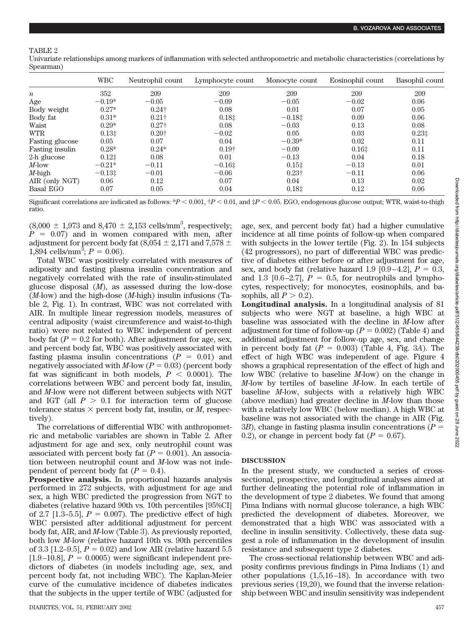## TABLE 2

Univariate relationships among markers of inflammation with selected anthropometric and metabolic characteristics (correlations by Spearman)

|                        | <b>WBC</b> | Neutrophil count | Lymphocyte count | Monocyte count | Eosinophil count | Basophil count |
|------------------------|------------|------------------|------------------|----------------|------------------|----------------|
| $\boldsymbol{n}$       | 352        | 209              | 209              | 209            | 209              | 209            |
| Age                    | $-0.19*$   | $-0.05$          | $-0.09$          | $-0.05$        | $-0.02$          | 0.06           |
| Body weight            | $0.27*$    | $0.24\dagger$    | 0.08             | 0.01           | 0.07             | 0.05           |
| Body fat               | $0.31*$    | $0.21\dagger$    | 0.181            | $-0.18$ $\pm$  | 0.09             | 0.06           |
| Waist                  | $0.29*$    | $0.27\dagger$    | 0.08             | $-0.03$        | 0.13             | 0.08           |
| <b>WTR</b>             | 0.131      | $0.20\dagger$    | $-0.02$          | 0.05           | 0.03             | 0.231          |
| <b>Fasting glucose</b> | 0.05       | 0.07             | 0.04             | $-0.39*$       | 0.02             | 0.11           |
| <b>Fasting insulin</b> | $0.28*$    | $0.24*$          | $0.19\dagger$    | $-0.09$        | 0.161            | 0.11           |
| 2-h glucose            | 0.121      | 0.08             | 0.01             | $-0.13$        | 0.04             | 0.18           |
| $M$ -low               | $-0.21*$   | $-0.11$          | $-0.161$         | $0.15$ ‡       | $-0.13$          | 0.01           |
| $M$ -high              | $-0.131$   | $-0.01$          | $-0.06$          | $0.23\dagger$  | $-0.11$          | 0.06           |
| AIR (only NGT)         | 0.06       | 0.12             | 0.07             | 0.04           | 0.13             | 0.02           |
| <b>Basal EGO</b>       | 0.07       | 0.05             | 0.04             | 0.181          | 0.12             | 0.06           |

Significant correlations are indicated as follows:  $P < 0.001$ ,  $P < 0.01$ , and  $P < 0.05$ . EGO, endogenous glucose output; WTR, waist-to-thigh ratio.

 $(8,000 \pm 1,973 \text{ and } 8,470 \pm 2,153 \text{ cells/mm}^3,$  respectively;  $P = 0.07$  and in women compared with men, after adjustment for percent body fat (8,054  $\pm$  2,171 and 7,578  $\pm$  $1,894$  cells/mm<sup>3</sup>;  $P = 0.06$ ).

Total WBC was positively correlated with measures of adiposity and fasting plasma insulin concentration and negatively correlated with the rate of insulin-stimulated glucose disposal (*M*), as assessed during the low-dose (*M*-low) and the high-dose (*M*-high) insulin infusions (Table 2, Fig. 1). In contrast, WBC was not correlated with AIR. In multiple linear regression models, measures of central adiposity (waist circumference and waist-to-thigh ratio) were not related to WBC independent of percent body fat  $(P = 0.2$  for both). After adjustment for age, sex, and percent body fat, WBC was positively associated with fasting plasma insulin concentrations  $(P = 0.01)$  and negatively associated with *M*-low  $(P = 0.03)$  (percent body fat was significant in both models,  $P < 0.0001$ ). The correlations between WBC and percent body fat, insulin, and *M*-low were not different between subjects with NGT and IGT (all  $P > 0.1$  for interaction term of glucose tolerance status  $\times$  percent body fat, insulin, or *M*, respectively).

The correlations of differential WBC with anthropometric and metabolic variables are shown in Table 2. After adjustment for age and sex, only neutrophil count was associated with percent body fat  $(P = 0.001)$ . An association between neutrophil count and *M*-low was not independent of percent body fat  $(P = 0.4)$ .

**Prospective analysis.** In proportional hazards analysis performed in 272 subjects, with adjustment for age and sex, a high WBC predicted the progression from NGT to diabetes (relative hazard 90th vs. 10th percentiles [95%CI] of 2.7  $[1.3-5.5]$ ,  $P = 0.007$ ). The predictive effect of high WBC persisted after additional adjustment for percent body fat, AIR, and *M*-low (Table 3). As previously reported, both low *M*-low (relative hazard 10th vs. 90th percentiles of 3.3 [1.2–9.5],  $P = 0.02$ ) and low AIR (relative hazard 5.5  $[1.9–10.8]$ ,  $P = 0.0005$ ) were significant independent predictors of diabetes (in models including age, sex, and percent body fat, not including WBC). The Kaplan-Meier curve of the cumulative incidence of diabetes indicates that the subjects in the upper tertile of WBC (adjusted for age, sex, and percent body fat) had a higher cumulative incidence at all time points of follow-up when compared with subjects in the lower tertile (Fig. 2). In 154 subjects (42 progressors), no part of differential WBC was predictive of diabetes either before or after adjustment for age, sex, and body fat (relative hazard 1.9  $[0.9-4.2]$ ,  $P = 0.3$ , and 1.3  $[0.6-2.7]$ ,  $P = 0.5$ , for neutrophils and lymphocytes, respectively; for monocytes, eosinophils, and basophils, all  $P > 0.2$ ).

**Longitudinal analysis.** In a longitudinal analysis of 81 subjects who were NGT at baseline, a high WBC at baseline was associated with the decline in *M*-low after adjustment for time of follow-up  $(P = 0.002)$  (Table 4) and additional adjustment for follow-up age, sex, and change in percent body fat  $(P = 0.003)$  (Table 4, Fig. 3A). The effect of high WBC was independent of age. Figure 4 shows a graphical representation of the effect of high and low WBC (relative to baseline *M*-low) on the change in *M*-low by tertiles of baseline *M*-low. In each tertile of baseline *M*-low, subjects with a relatively high WBC (above median) had greater decline in *M*-low than those with a relatively low WBC (below median). A high WBC at baseline was not associated with the change in AIR (Fig. 3*B*), change in fasting plasma insulin concentrations  $(P =$ 0.2), or change in percent body fat  $(P = 0.67)$ .

## **DISCUSSION**

In the present study, we conducted a series of crosssectional, prospective, and longitudinal analyses aimed at further delineating the potential role of inflammation in the development of type 2 diabetes. We found that among Pima Indians with normal glucose tolerance, a high WBC predicted the development of diabetes. Moreover, we demonstrated that a high WBC was associated with a decline in insulin sensitivity. Collectively, these data suggest a role of inflammation in the development of insulin resistance and subsequent type 2 diabetes.

The cross-sectional relationship between WBC and adiposity confirms previous findings in Pima Indians (1) and other populations (1,5,16–18). In accordance with two previous series (19,20), we found that the inverse relationship between WBC and insulin sensitivity was independent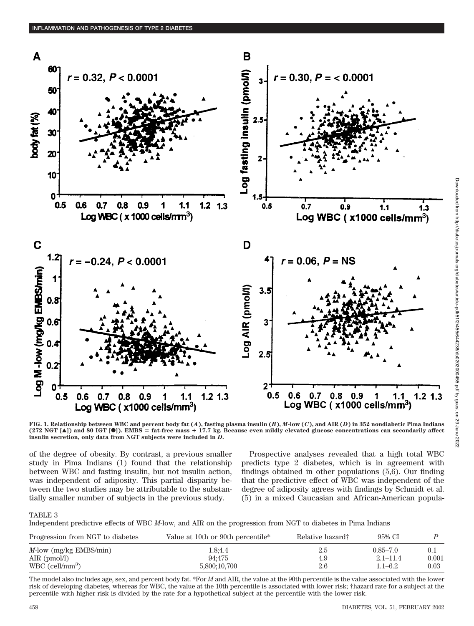

 $1.21.3$ 

**FIG. 1. Relationship between WBC and percent body fat (***A***), fasting plasma insulin (***B***),** *M***-low (***C***), and AIR (***D***) in 352 nondiabetic Pima Indians (272 NGT [**Œ**]) and 80 IGT [**F**]). EMBS** - **fat-free mass 17.7 kg. Because even mildly elevated glucose concentrations can secondarily affect insulin secretion, only data from NGT subjects were included in** *D***.**

of the degree of obesity. By contrast, a previous smaller study in Pima Indians (1) found that the relationship between WBC and fasting insulin, but not insulin action, was independent of adiposity. This partial disparity between the two studies may be attributable to the substantially smaller number of subjects in the previous study.

Prospective analyses revealed that a high total WBC predicts type 2 diabetes, which is in agreement with findings obtained in other populations (5,6). Our finding that the predictive effect of WBC was independent of the degree of adiposity agrees with findings by Schmidt et al. (5) in a mixed Caucasian and African-American popula-

## TABLE 3

Independent predictive effects of WBC *M*-low, and AIR on the progression from NGT to diabetes in Pima Indians

| Progression from NGT to diabetes | Value at 10th or 90th percentile* | Relative hazard† | 95% CI       |       |
|----------------------------------|-----------------------------------|------------------|--------------|-------|
| $M$ -low (mg/kg EMBS/min)        | 1.8:4.4                           | 2.b              | $0.85 - 7.0$ | 0.1   |
| AIR $(pmol/l)$                   | 94:475                            | 4.9              | $2.1 - 11.4$ | 0.001 |
| $WBC$ (cell/mm <sup>3</sup> )    | 5,800;10,700                      | 2.6              | $1.1 - 6.2$  | 0.03  |

The model also includes age, sex, and percent body fat. \*For *M* and AIR, the value at the 90th percentile is the value associated with the lower risk of developing diabetes, whereas for WBC, the value at the 10th percentile is associated with lower risk; †hazard rate for a subject at the percentile with higher risk is divided by the rate for a hypothetical subject at the percentile with the lower risk.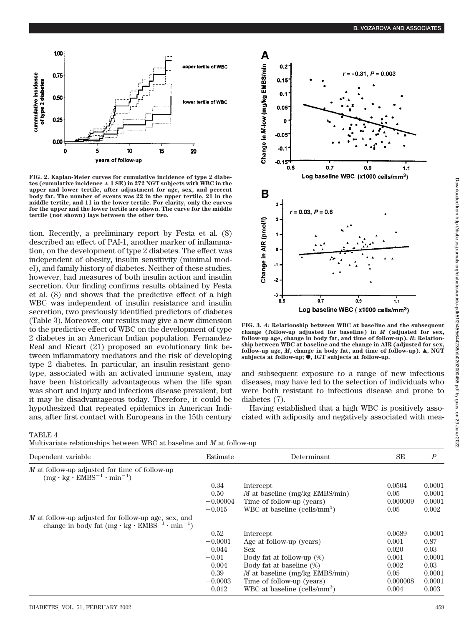

**FIG. 2. Kaplan-Meier curves for cumulative incidence of type 2 diabetes (cumulative incidence 1 SE) in 272 NGT subjects with WBC in the upper and lower tertile, after adjustment for age, sex, and percent body fat. The number of events was 22 in the upper tertile, 21 in the middle tertile, and 11 in the lower tertile. For clarity, only the curves for the upper and the lower tertile are shown. The curve for the middle tertile (not shown) lays between the other two.**

tion. Recently, a preliminary report by Festa et al. (8) described an effect of PAI-1, another marker of inflammation, on the development of type 2 diabetes. The effect was independent of obesity, insulin sensitivity (minimal model), and family history of diabetes. Neither of these studies, however, had measures of both insulin action and insulin secretion. Our finding confirms results obtained by Festa et al. (8) and shows that the predictive effect of a high WBC was independent of insulin resistance and insulin secretion, two previously identified predictors of diabetes (Table 3). Moreover, our results may give a new dimension to the predictive effect of WBC on the development of type 2 diabetes in an American Indian population. Fernandez-Real and Ricart (21) proposed an evolutionary link between inflammatory mediators and the risk of developing type 2 diabetes. In particular, an insulin-resistant genotype, associated with an activated immune system, may have been historically advantageous when the life span was short and injury and infectious disease prevalent, but it may be disadvantageous today. Therefore, it could be hypothesized that repeated epidemics in American Indians, after first contact with Europeans in the 15th century



**FIG. 3.** *A***: Relationship between WBC at baseline and the subsequent change (follow-up adjusted for baseline) in** *M* **(adjusted for sex, follow-up age, change in body fat, and time of follow-up).** *B***: Relationship between WBC at baseline and the change in AIR (adjusted for sex, follow-up age,** *M*, change in body fat, and time of follow-up). **△**, NGT subjects at follow-up;  $\bullet$ , IGT subjects at follow-up.

and subsequent exposure to a range of new infectious diseases, may have led to the selection of individuals who were both resistant to infectious disease and prone to diabetes (7).

Having established that a high WBC is positively associated with adiposity and negatively associated with mea-

| ABLE |  |
|------|--|
|------|--|

Multivariate relationships between WBC at baseline and *M* at follow-up

| <u>humo analog relativition between who at basemic and in at rollow up</u>                                               |            |                                          |          |                  |  |  |
|--------------------------------------------------------------------------------------------------------------------------|------------|------------------------------------------|----------|------------------|--|--|
| Dependent variable                                                                                                       | Estimate   | Determinant                              | SE       | $\boldsymbol{P}$ |  |  |
| $M$ at follow-up adjusted for time of follow-up<br>$(mg \cdot kg \cdot EMBS^{-1} \cdot min^{-1})$                        |            |                                          |          |                  |  |  |
|                                                                                                                          | 0.34       | Intercept                                | 0.0504   | 0.0001           |  |  |
|                                                                                                                          | 0.50       | M at baseline (mg/kg EMBS/min)           | 0.05     | 0.0001           |  |  |
|                                                                                                                          | $-0.00004$ | Time of follow-up (years)                | 0.000009 | 0.0001           |  |  |
|                                                                                                                          | $-0.015$   | WBC at baseline $(cells/mm^3)$           | 0.05     | 0.002            |  |  |
| M at follow-up adjusted for follow-up age, sex, and<br>change in body fat $(mg \cdot kg \cdot EMBS^{-1} \cdot min^{-1})$ |            |                                          |          |                  |  |  |
|                                                                                                                          | 0.52       | Intercept                                | 0.0689   | 0.0001           |  |  |
|                                                                                                                          | $-0.0001$  | Age at follow-up (years)                 | 0.001    | 0.87             |  |  |
|                                                                                                                          | 0.044      | Sex                                      | 0.020    | 0.03             |  |  |
|                                                                                                                          | $-0.01$    | Body fat at follow-up (%)                | 0.001    | 0.0001           |  |  |
|                                                                                                                          | 0.004      | Body fat at baseline (%)                 | 0.002    | 0.03             |  |  |
|                                                                                                                          | 0.39       | M at baseline (mg/kg EMBS/min)           | 0.05     | 0.0001           |  |  |
|                                                                                                                          | $-0.0003$  | Time of follow-up (years)                | 0.000008 | 0.0001           |  |  |
|                                                                                                                          | $-0.012$   | WBC at baseline (cells/mm <sup>3</sup> ) | 0.004    | 0.003            |  |  |
|                                                                                                                          |            |                                          |          |                  |  |  |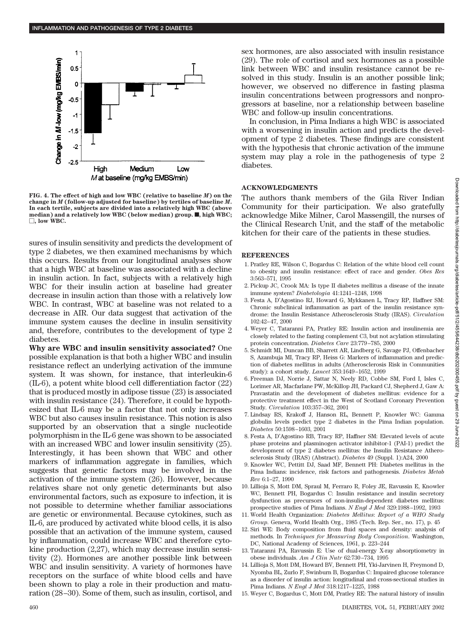

**FIG. 4. The effect of high and low WBC (relative to baseline** *M***) on the change in** *M* **(follow-up adjusted for baseline) by tertiles of baseline** *M***. In each tertile, subjects are divided into a relatively high WBC (above** median) and a relatively low WBC (below median) group.  $\blacksquare$ , high WBC; -**, low WBC.**

sures of insulin sensitivity and predicts the development of type 2 diabetes, we then examined mechanisms by which this occurs. Results from our longitudinal analyses show that a high WBC at baseline was associated with a decline in insulin action. In fact, subjects with a relatively high WBC for their insulin action at baseline had greater decrease in insulin action than those with a relatively low WBC. In contrast, WBC at baseline was not related to a decrease in AIR. Our data suggest that activation of the immune system causes the decline in insulin sensitivity and, therefore, contributes to the development of type 2 diabetes.

**Why are WBC and insulin sensitivity associated?** One possible explanation is that both a higher WBC and insulin resistance reflect an underlying activation of the immune system. It was shown, for instance, that interleukin-6 (IL-6), a potent white blood cell differentiation factor (22) that is produced mostly in adipose tissue (23) is associated with insulin resistance (24). Therefore, it could be hypothesized that IL-6 may be a factor that not only increases WBC but also causes insulin resistance. This notion is also supported by an observation that a single nucleotide polymorphism in the IL-6 gene was shown to be associated with an increased WBC and lower insulin sensitivity (25). Interestingly, it has been shown that WBC and other markers of inflammation aggregate in families, which suggests that genetic factors may be involved in the activation of the immune system (26). However, because relatives share not only genetic determinants but also environmental factors, such as exposure to infection, it is not possible to determine whether familiar associations are genetic or environmental. Because cytokines, such as IL-6, are produced by activated white blood cells, it is also possible that an activation of the immune system, caused by inflammation, could increase WBC and therefore cytokine production (2,27), which may decrease insulin sensitivity (2). Hormones are another possible link between WBC and insulin sensitivity. A variety of hormones have receptors on the surface of white blood cells and have been shown to play a role in their production and maturation (28–30). Some of them, such as insulin, cortisol, and sex hormones, are also associated with insulin resistance (29). The role of cortisol and sex hormones as a possible link between WBC and insulin resistance cannot be resolved in this study. Insulin is an another possible link; however, we observed no difference in fasting plasma insulin concentrations between progressors and nonprogressors at baseline, nor a relationship between baseline WBC and follow-up insulin concentrations.

In conclusion, in Pima Indians a high WBC is associated with a worsening in insulin action and predicts the development of type 2 diabetes. These findings are consistent with the hypothesis that chronic activation of the immune system may play a role in the pathogenesis of type 2 diabetes.

# **ACKNOWLEDGMENTS**

The authors thank members of the Gila River Indian Community for their participation. We also gratefully acknowledge Mike Milner, Carol Massengill, the nurses of the Clinical Research Unit, and the staff of the metabolic kitchen for their care of the patients in these studies.

#### **REFERENCES**

- 1. Pratley RE, Wilson C, Bogardus C: Relation of the white blood cell count to obesity and insulin resistance: effect of race and gender. *Obes Res* 3:563–571, 1995
- 2. Pickup JC, Crook MA: Is type II diabetes mellitus a disease of the innate immune system? *Diabetologia* 41:1241–1248, 1998
- 3. Festa A, D'Agostino RJ, Howard G, Mykkanen L, Tracy RP, Haffner SM: Chronic subclinical inflammation as part of the insulin resistance syndrome: the Insulin Resistance Atherosclerosis Study (IRAS). *Circulation* 102:42–47, 2000
- 4. Weyer C, Tataranni PA, Pratley RE: Insulin action and insulinemia are closely related to the fasting complement C3, but not acylation stimulating protein concentration. *Diabetes Care* 23:779–785, 2000
- 5. Schmidt MI, Duncan BB, Sharrett AR, Lindberg G, Savage PJ, Offenbacher S, Azambuja MI, Tracy RP, Heiss G: Markers of inflammation and prediction of diabetes mellitus in adults (Atherosclerosis Risk in Communities study): a cohort study. *Lancet* 353:1649–1652, 1999
- 6. Freeman DJ, Norrie J, Sattar N, Neely RD, Cobbe SM, Ford I, Isles C, Lorimer AR, Macfarlane PW, McKillop JH, Packard CJ, Shepherd J, Gaw A: Pravastatin and the development of diabetes mellitus: evidence for a protective treatment effect in the West of Scotland Coronary Prevention Study. *Circulation* 103:357–362, 2001
- 7. Lindsay RS, Krakoff J, Hanson RL, Bennett P, Knowler WC: Gamma globulin levels predict type 2 diabetes in the Pima Indian population. *Diabetes* 50:1598–1603, 2001
- 8. Festa A, D'Agostino RB, Tracy RP, Haffner SM: Elevated levels of acute phase proteins and plasminogen activator inhibitor-1 (PAI-1) predict the development of type 2 diabetes mellitus: the Insulin Resistance Atherosclerosis Study (IRAS) (Abstract). *Diabetes* 49 (Suppl. 1):A24, 2000
- 9. Knowler WC, Pettitt DJ, Saad MF, Bennett PH: Diabetes mellitus in the Pima Indians: incidence, risk factors and pathogenesis. *Diabetes Metab Rev* 6:1–27, 1990
- 10. Lillioja S, Mott DM, Spraul M, Ferraro R, Foley JE, Ravussin E, Knowler WC, Bennett PH, Bogardus C: Insulin resistance and insulin secretory dysfunction as precursors of non-insulin-dependent diabetes mellitus: prospective studies of Pima Indians. *N Engl J Med* 329:1988–1992, 1993
- 11. World Health Organization: *Diabetes Mellitus*: *Report of a WHO Study Group*. Geneva, World Health Org., 1985 (Tech. Rep. Ser., no. 17), p. 45
- 12. Siri WE: Body composition from fluid spaces and density: analysis of methods. In *Techniques for Measuring Body Composition*. Washington, DC, National Academy of Sciences, 1961, p. 223–244
- 13. Tataranni PA, Ravussin E: Use of dual-energy X-ray absorptiometry in obese individuals. *Am J Clin Nutr* 62:730–734, 1995
- 14. Lillioja S, Mott DM, Howard BV, Bennett PH, Yki-Jarvinen H, Freymond D, Nyomba BL, Zurlo F, Swinburn B, Bogardus C: Impaired glucose tolerance as a disorder of insulin action: longitudinal and cross-sectional studies in Pima Indians. *N Engl J Med* 318:1217–1225, 1988
- 15. Weyer C, Bogardus C, Mott DM, Pratley RE: The natural history of insulin